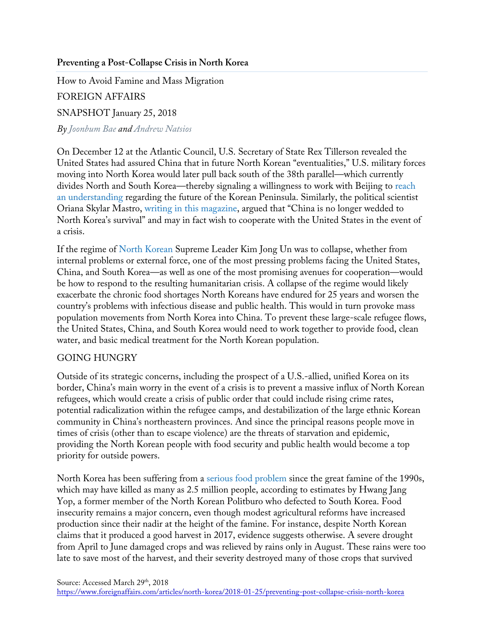## **Preventing a Post-Collapse Crisis in North Korea**

How to Avoid Famine and Mass Migration FOREIGN AFFAIRS SNAPSHOT January 25, 2018 *By Joonbum Bae and Andrew Natsios*

On December 12 at the Atlantic Council, U.S. Secretary of State Rex Tillerson revealed the United States had assured China that in future North Korean "eventualities," U.S. military forces moving into North Korea would later pull back south of the 38th parallel—which currently divides North and South Korea—thereby signaling a willingness to work with Beijing to reach an understanding regarding the future of the Korean Peninsula. Similarly, the political scientist Oriana Skylar Mastro, writing in this magazine, argued that "China is no longer wedded to North Korea's survival" and may in fact wish to cooperate with the United States in the event of a crisis.

If the regime of North Korean Supreme Leader Kim Jong Un was to collapse, whether from internal problems or external force, one of the most pressing problems facing the United States, China, and South Korea—as well as one of the most promising avenues for cooperation—would be how to respond to the resulting humanitarian crisis. A collapse of the regime would likely exacerbate the chronic food shortages North Koreans have endured for 25 years and worsen the country's problems with infectious disease and public health. This would in turn provoke mass population movements from North Korea into China. To prevent these large-scale refugee flows, the United States, China, and South Korea would need to work together to provide food, clean water, and basic medical treatment for the North Korean population.

## GOING HUNGRY

Outside of its strategic concerns, including the prospect of a U.S.-allied, unified Korea on its border, China's main worry in the event of a crisis is to prevent a massive influx of North Korean refugees, which would create a crisis of public order that could include rising crime rates, potential radicalization within the refugee camps, and destabilization of the large ethnic Korean community in China's northeastern provinces. And since the principal reasons people move in times of crisis (other than to escape violence) are the threats of starvation and epidemic, providing the North Korean people with food security and public health would become a top priority for outside powers.

North Korea has been suffering from a serious food problem since the great famine of the 1990s, which may have killed as many as 2.5 million people, according to estimates by Hwang Jang Yop, a former member of the North Korean Politburo who defected to South Korea. Food insecurity remains a major concern, even though modest agricultural reforms have increased production since their nadir at the height of the famine. For instance, despite North Korean claims that it produced a good harvest in 2017, evidence suggests otherwise. A severe drought from April to June damaged crops and was relieved by rains only in August. These rains were too late to save most of the harvest, and their severity destroyed many of those crops that survived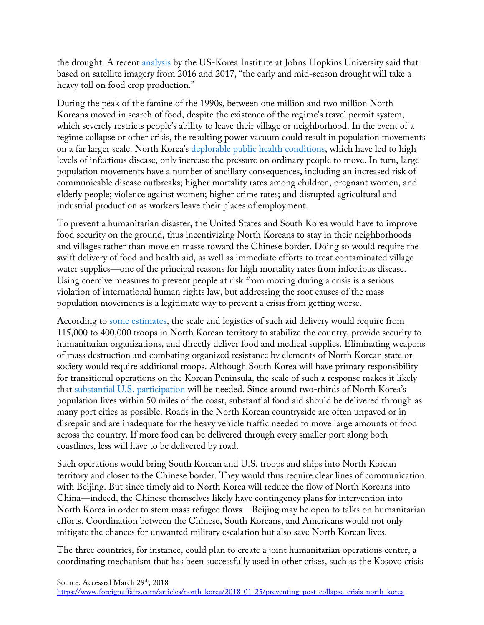the drought. A recent analysis by the US-Korea Institute at Johns Hopkins University said that based on satellite imagery from 2016 and 2017, "the early and mid-season drought will take a heavy toll on food crop production."

During the peak of the famine of the 1990s, between one million and two million North Koreans moved in search of food, despite the existence of the regime's travel permit system, which severely restricts people's ability to leave their village or neighborhood. In the event of a regime collapse or other crisis, the resulting power vacuum could result in population movements on a far larger scale. North Korea's deplorable public health conditions, which have led to high levels of infectious disease, only increase the pressure on ordinary people to move. In turn, large population movements have a number of ancillary consequences, including an increased risk of communicable disease outbreaks; higher mortality rates among children, pregnant women, and elderly people; violence against women; higher crime rates; and disrupted agricultural and industrial production as workers leave their places of employment.

To prevent a humanitarian disaster, the United States and South Korea would have to improve food security on the ground, thus incentivizing North Koreans to stay in their neighborhoods and villages rather than move en masse toward the Chinese border. Doing so would require the swift delivery of food and health aid, as well as immediate efforts to treat contaminated village water supplies—one of the principal reasons for high mortality rates from infectious disease. Using coercive measures to prevent people at risk from moving during a crisis is a serious violation of international human rights law, but addressing the root causes of the mass population movements is a legitimate way to prevent a crisis from getting worse.

According to some estimates, the scale and logistics of such aid delivery would require from 115,000 to 400,000 troops in North Korean territory to stabilize the country, provide security to humanitarian organizations, and directly deliver food and medical supplies. Eliminating weapons of mass destruction and combating organized resistance by elements of North Korean state or society would require additional troops. Although South Korea will have primary responsibility for transitional operations on the Korean Peninsula, the scale of such a response makes it likely that substantial U.S. participation will be needed. Since around two-thirds of North Korea's population lives within 50 miles of the coast, substantial food aid should be delivered through as many port cities as possible. Roads in the North Korean countryside are often unpaved or in disrepair and are inadequate for the heavy vehicle traffic needed to move large amounts of food across the country. If more food can be delivered through every smaller port along both coastlines, less will have to be delivered by road.

Such operations would bring South Korean and U.S. troops and ships into North Korean territory and closer to the Chinese border. They would thus require clear lines of communication with Beijing. But since timely aid to North Korea will reduce the flow of North Koreans into China—indeed, the Chinese themselves likely have contingency plans for intervention into North Korea in order to stem mass refugee flows—Beijing may be open to talks on humanitarian efforts. Coordination between the Chinese, South Koreans, and Americans would not only mitigate the chances for unwanted military escalation but also save North Korean lives.

The three countries, for instance, could plan to create a joint humanitarian operations center, a coordinating mechanism that has been successfully used in other crises, such as the Kosovo crisis